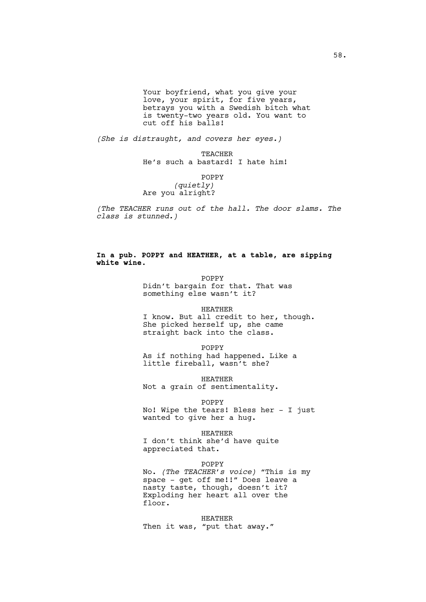Your boyfriend, what you give your love, your spirit, for five years, betrays you with a Swedish bitch what is twenty-two years old. You want to cut off his balls!

*(She is distraught, and covers her eyes.)*

TEACHER He's such a bastard! I hate him!

POPPY

*(quietly)* Are you alright?

*(The TEACHER runs out of the hall. The door slams. The class is stunned.)*

### **In a pub. POPPY and HEATHER, at a table, are sipping white wine.**

POPPY Didn't bargain for that. That was something else wasn't it?

HEATHER

I know. But all credit to her, though. She picked herself up, she came straight back into the class.

POPPY

As if nothing had happened. Like a little fireball, wasn't she?

HEATHER Not a grain of sentimentality.

POPPY No! Wipe the tears! Bless her - I just wanted to give her a hug.

HEATHER I don't think she'd have quite appreciated that.

POPPY No. *(The TEACHER's voice)* "This is my space - get off me!!" Does leave a nasty taste, though, doesn't it? Exploding her heart all over the floor.

HEATHER Then it was, "put that away."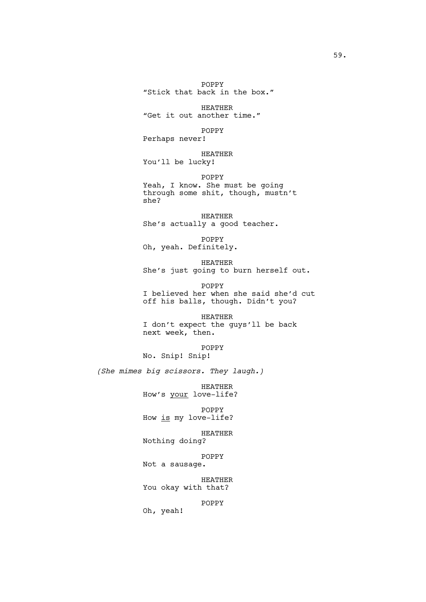POPPY "Stick that back in the box."

HEATHER "Get it out another time."

POPPY

Perhaps never!

HEATHER You'll be lucky!

POPPY Yeah, I know. She must be going through some shit, though, mustn't she?

HEATHER She's actually a good teacher.

POPPY Oh, yeah. Definitely.

HEATHER She's just going to burn herself out.

POPPY I believed her when she said she'd cut off his balls, though. Didn't you?

HEATHER I don't expect the guys'll be back next week, then.

POPPY No. Snip! Snip!

*(She mimes big scissors. They laugh.)*

HEATHER How's your love-life?

POPPY How is my love-life?

HEATHER Nothing doing?

POPPY Not a sausage.

HEATHER You okay with that?

POPPY

Oh, yeah!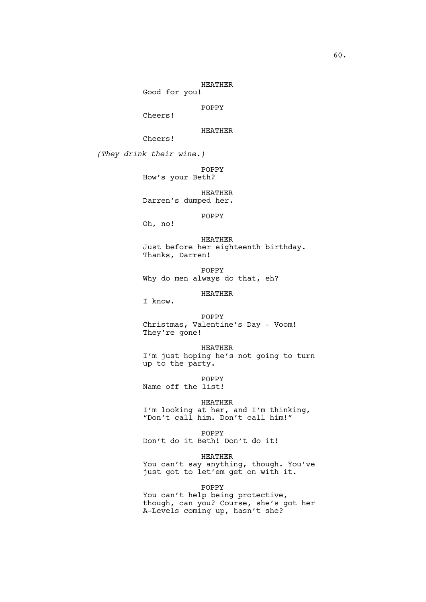HEATHER

Good for you!

POPPY

Cheers!

HEATHER

Cheers!

*(They drink their wine.)*

POPPY How's your Beth?

HEATHER Darren's dumped her.

POPPY

Oh, no!

HEATHER Just before her eighteenth birthday. Thanks, Darren!

POPPY Why do men always do that, eh?

HEATHER

I know.

POPPY Christmas, Valentine's Day - Voom! They're gone!

HEATHER I'm just hoping he's not going to turn up to the party.

POPPY

Name off the list!

HEATHER

I'm looking at her, and I'm thinking, "Don't call him. Don't call him!"

POPPY Don't do it Beth! Don't do it!

HEATHER You can't say anything, though. You've just got to let'em get on with it.

POPPY

You can't help being protective, though, can you? Course, she's got her A-Levels coming up, hasn't she?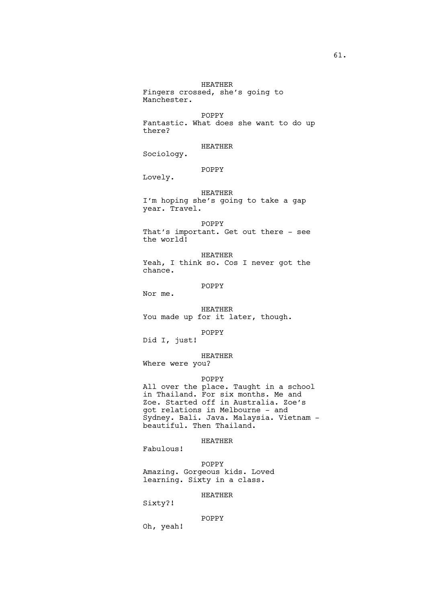HEATHER Fingers crossed, she's going to Manchester.

POPPY Fantastic. What does she want to do up there?

HEATHER

Sociology.

POPPY

Lovely.

# HEATHER I'm hoping she's going to take a gap year. Travel.

POPPY That's important. Get out there - see the world!

HEATHER Yeah, I think so. Cos I never got the chance.

POPPY

Nor me.

HEATHER You made up for it later, though.

POPPY

Did I, just!

HEATHER

Where were you?

#### POPPY

All over the place. Taught in a school in Thailand. For six months. Me and Zoe. Started off in Australia. Zoe's got relations in Melbourne - and Sydney. Bali. Java. Malaysia. Vietnam beautiful. Then Thailand.

# HEATHER

Fabulous!

POPPY Amazing. Gorgeous kids. Loved learning. Sixty in a class.

## HEATHER

Sixty?!

#### POPPY

Oh, yeah!